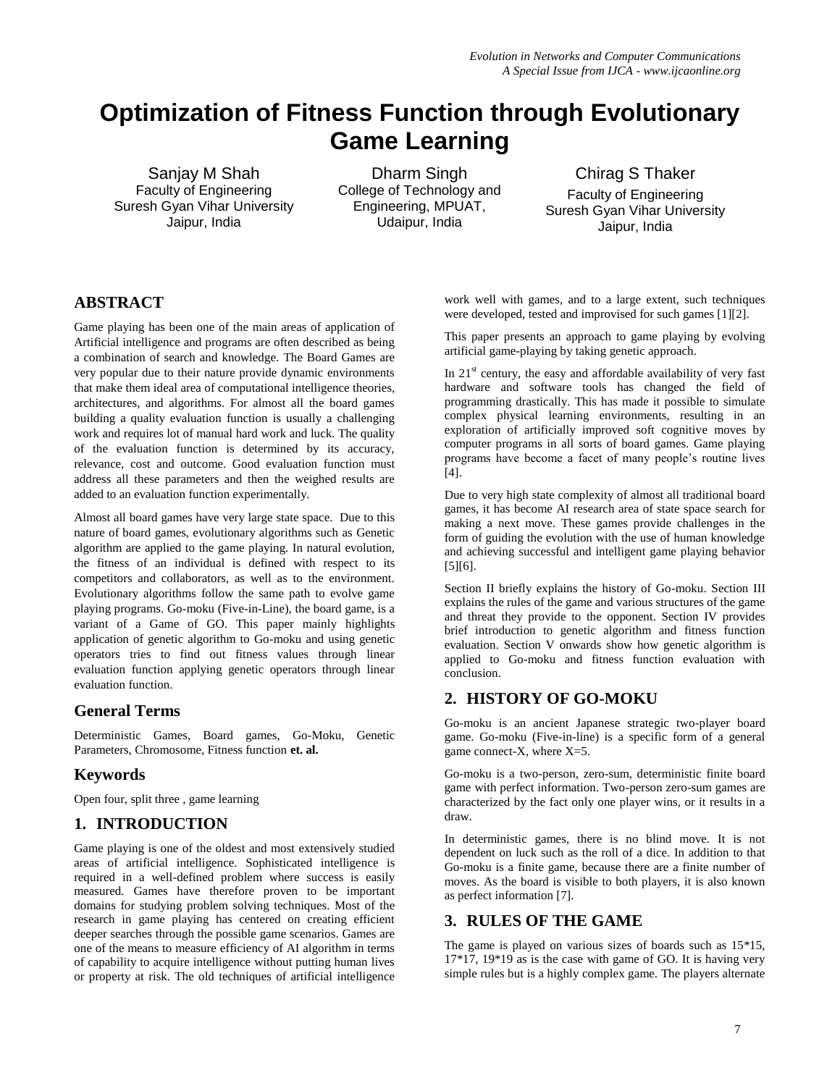# **Optimization of Fitness Function through Evolutionary Game Learning**

Sanjay M Shah Faculty of Engineering Suresh Gyan Vihar University Jaipur, India

Dharm Singh College of Technology and Engineering, MPUAT, Udaipur, India

Chirag S Thaker Faculty of Engineering Suresh Gyan Vihar University Jaipur, India

# **ABSTRACT**

Game playing has been one of the main areas of application of Artificial intelligence and programs are often described as being a combination of search and knowledge. The Board Games are very popular due to their nature provide dynamic environments that make them ideal area of computational intelligence theories, architectures, and algorithms. For almost all the board games building a quality evaluation function is usually a challenging work and requires lot of manual hard work and luck. The quality of the evaluation function is determined by its accuracy, relevance, cost and outcome. Good evaluation function must address all these parameters and then the weighed results are added to an evaluation function experimentally.

Almost all board games have very large state space. Due to this nature of board games, evolutionary algorithms such as Genetic algorithm are applied to the game playing. In natural evolution, the fitness of an individual is defined with respect to its competitors and collaborators, as well as to the environment. Evolutionary algorithms follow the same path to evolve game playing programs. Go-moku (Five-in-Line), the board game, is a variant of a Game of GO. This paper mainly highlights application of genetic algorithm to Go-moku and using genetic operators tries to find out fitness values through linear evaluation function applying genetic operators through linear evaluation function.

### **General Terms**

Deterministic Games, Board games, Go-Moku, Genetic Parameters, Chromosome, Fitness function **et. al.**

### **Keywords**

Open four, split three , game learning

## **1. INTRODUCTION**

Game playing is one of the oldest and most extensively studied areas of artificial intelligence. Sophisticated intelligence is required in a well-defined problem where success is easily measured. Games have therefore proven to be important domains for studying problem solving techniques. Most of the research in game playing has centered on creating efficient deeper searches through the possible game scenarios. Games are one of the means to measure efficiency of AI algorithm in terms of capability to acquire intelligence without putting human lives or property at risk. The old techniques of artificial intelligence work well with games, and to a large extent, such techniques were developed, tested and improvised for such games [1][2].

This paper presents an approach to game playing by evolving artificial game-playing by taking genetic approach.

In  $21<sup>st</sup>$  century, the easy and affordable availability of very fast hardware and software tools has changed the field of programming drastically. This has made it possible to simulate complex physical learning environments, resulting in an exploration of artificially improved soft cognitive moves by computer programs in all sorts of board games. Game playing programs have become a facet of many people's routine lives [4].

Due to very high state complexity of almost all traditional board games, it has become AI research area of state space search for making a next move. These games provide challenges in the form of guiding the evolution with the use of human knowledge and achieving successful and intelligent game playing behavior [5][6].

Section II briefly explains the history of Go-moku. Section III explains the rules of the game and various structures of the game and threat they provide to the opponent. Section IV provides brief introduction to genetic algorithm and fitness function evaluation. Section V onwards show how genetic algorithm is applied to Go-moku and fitness function evaluation with conclusion.

# **2. HISTORY OF GO-MOKU**

Go-moku is an ancient Japanese strategic two-player board game. Go-moku (Five-in-line) is a specific form of a general game connect-X, where X=5.

Go-moku is a two-person, zero-sum, deterministic finite board game with perfect information. Two-person zero-sum games are characterized by the fact only one player wins, or it results in a draw.

In deterministic games, there is no blind move. It is not dependent on luck such as the roll of a dice. In addition to that Go-moku is a finite game, because there are a finite number of moves. As the board is visible to both players, it is also known as perfect information [7].

## **3. RULES OF THE GAME**

The game is played on various sizes of boards such as 15\*15,  $17*17$ ,  $19*19$  as is the case with game of GO. It is having very simple rules but is a highly complex game. The players alternate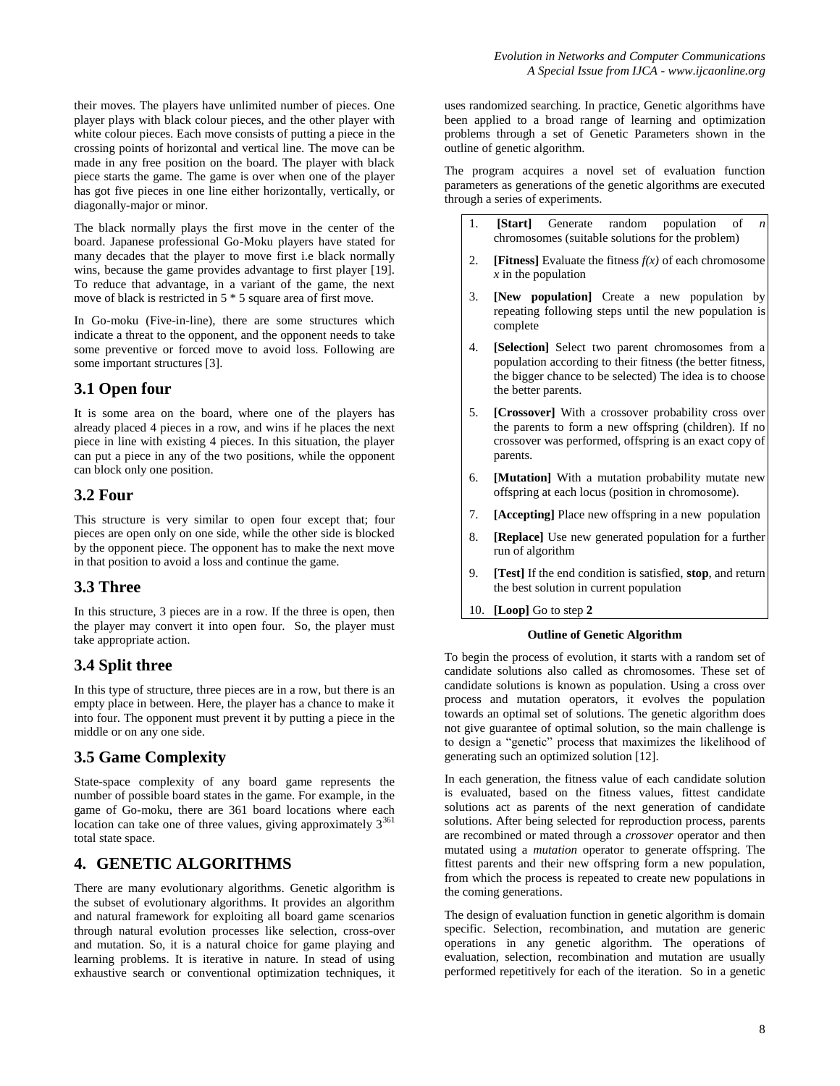The black normally plays the first move in the center of the board. Japanese professional Go-Moku players have stated for many decades that the player to move first i.e black normally wins, because the game provides advantage to first player [19]. To reduce that advantage, in a variant of the game, the next move of black is restricted in 5 \* 5 square area of first move.

In Go-moku (Five-in-line), there are some structures which indicate a threat to the opponent, and the opponent needs to take some preventive or forced move to avoid loss. Following are some important structures [3].

# **3.1 Open four**

It is some area on the board, where one of the players has already placed 4 pieces in a row, and wins if he places the next piece in line with existing 4 pieces. In this situation, the player can put a piece in any of the two positions, while the opponent can block only one position.

## **3.2 Four**

This structure is very similar to open four except that; four pieces are open only on one side, while the other side is blocked by the opponent piece. The opponent has to make the next move in that position to avoid a loss and continue the game.

## **3.3 Three**

In this structure, 3 pieces are in a row. If the three is open, then the player may convert it into open four. So, the player must take appropriate action.

# **3.4 Split three**

In this type of structure, three pieces are in a row, but there is an empty place in between. Here, the player has a chance to make it into four. The opponent must prevent it by putting a piece in the middle or on any one side.

# **3.5 Game Complexity**

State-space complexity of any board game represents the number of possible board states in the game. For example, in the game of Go-moku, there are 361 board locations where each location can take one of three values, giving approximately  $3^{361}$ total state space.

## **4. GENETIC ALGORITHMS**

There are many evolutionary algorithms. Genetic algorithm is the subset of evolutionary algorithms. It provides an algorithm and natural framework for exploiting all board game scenarios through natural evolution processes like selection, cross-over and mutation. So, it is a natural choice for game playing and learning problems. It is iterative in nature. In stead of using exhaustive search or conventional optimization techniques, it uses randomized searching. In practice, Genetic algorithms have been applied to a broad range of learning and optimization problems through a set of Genetic Parameters shown in the outline of genetic algorithm.

The program acquires a novel set of evaluation function parameters as generations of the genetic algorithms are executed through a series of experiments.

- 1. **[Start]** Generate random population of *n* chromosomes (suitable solutions for the problem)
- 2. **[Fitness]** Evaluate the fitness  $f(x)$  of each chromosome *x* in the population
- 3. **[New population]** Create a new population by repeating following steps until the new population is complete
- 4. **[Selection]** Select two parent chromosomes from a population according to their fitness (the better fitness, the bigger chance to be selected) The idea is to choose the better parents.
- 5. **[Crossover]** With a crossover probability cross over the parents to form a new offspring (children). If no crossover was performed, offspring is an exact copy of parents.
- 6. **[Mutation]** With a mutation probability mutate new offspring at each locus (position in chromosome).
- 7. **[Accepting]** Place new offspring in a new population
- 8. **[Replace]** Use new generated population for a further run of algorithm
- 9. **[Test]** If the end condition is satisfied, **stop**, and return the best solution in current population
- 10. **[Loop]** Go to step **2**

### **Outline of Genetic Algorithm**

To begin the process of evolution, it starts with a random set of candidate solutions also called as chromosomes. These set of candidate solutions is known as population. Using a cross over process and mutation operators, it evolves the population towards an optimal set of solutions. The genetic algorithm does not give guarantee of optimal solution, so the main challenge is to design a "genetic" process that maximizes the likelihood of generating such an optimized solution [12].

In each generation, the fitness value of each candidate solution is evaluated, based on the fitness values, fittest candidate solutions act as parents of the next generation of candidate solutions. After being selected for reproduction process, parents are recombined or mated through a *crossover* operator and then mutated using a *mutation* operator to generate offspring. The fittest parents and their new offspring form a new population, from which the process is repeated to create new populations in the coming generations.

The design of evaluation function in genetic algorithm is domain specific. Selection, recombination, and mutation are generic operations in any genetic algorithm. The operations of evaluation, selection, recombination and mutation are usually performed repetitively for each of the iteration. So in a genetic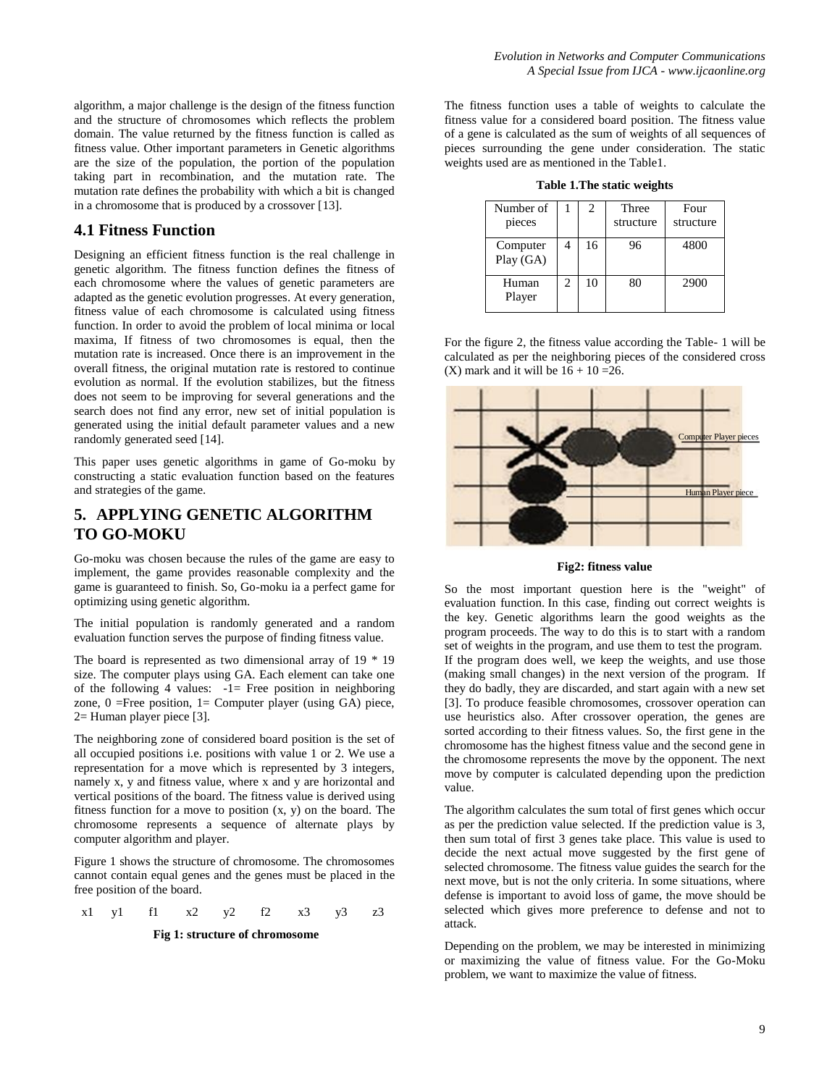#### **4.1 Fitness Function**

Designing an efficient fitness function is the real challenge in genetic algorithm. The fitness function defines the fitness of each chromosome where the values of genetic parameters are adapted as the genetic evolution progresses. At every generation, fitness value of each chromosome is calculated using fitness function. In order to avoid the problem of local minima or local maxima, If fitness of two chromosomes is equal, then the mutation rate is increased. Once there is an improvement in the overall fitness, the original mutation rate is restored to continue evolution as normal. If the evolution stabilizes, but the fitness does not seem to be improving for several generations and the search does not find any error, new set of initial population is generated using the initial default parameter values and a new randomly generated seed [14].

This paper uses genetic algorithms in game of Go-moku by constructing a static evaluation function based on the features and strategies of the game.

# **5. APPLYING GENETIC ALGORITHM TO GO-MOKU**

Go-moku was chosen because the rules of the game are easy to implement, the game provides reasonable complexity and the game is guaranteed to finish. So, Go-moku ia a perfect game for optimizing using genetic algorithm.

The initial population is randomly generated and a random evaluation function serves the purpose of finding fitness value.

The board is represented as two dimensional array of 19 \* 19 size. The computer plays using GA. Each element can take one of the following 4 values:  $-1=$  Free position in neighboring zone,  $0 =$ Free position,  $1 =$  Computer player (using GA) piece, 2= Human player piece [3].

The neighboring zone of considered board position is the set of all occupied positions i.e. positions with value 1 or 2. We use a representation for a move which is represented by 3 integers, namely x, y and fitness value, where x and y are horizontal and vertical positions of the board. The fitness value is derived using fitness function for a move to position  $(x, y)$  on the board. The chromosome represents a sequence of alternate plays by computer algorithm and player.

Figure 1 shows the structure of chromosome. The chromosomes cannot contain equal genes and the genes must be placed in the free position of the board.

$$
x1 \t y1 \t f1 \t x2 \t y2 \t f2 \t x3 \t y3 \t z3
$$

#### **Fig 1: structure of chromosome**

The fitness function uses a table of weights to calculate the fitness value for a considered board position. The fitness value of a gene is calculated as the sum of weights of all sequences of pieces surrounding the gene under consideration. The static weights used are as mentioned in the Table1.

**Table 1.The static weights**

| Number of<br>pieces   |   | 2  | Three<br>structure | Four<br>structure |
|-----------------------|---|----|--------------------|-------------------|
| Computer<br>Play (GA) |   | 16 | 96                 | 4800              |
| Human<br>Player       | 2 | 10 | 80                 | 2900              |

For the figure 2, the fitness value according the Table- 1 will be calculated as per the neighboring pieces of the considered cross (X) mark and it will be  $16 + 10 = 26$ .



**Fig2: fitness value**

So the most important question here is the "weight" of evaluation function. In this case, finding out correct weights is the key. Genetic algorithms learn the good weights as the program proceeds. The way to do this is to start with a random set of weights in the program, and use them to test the program. If the program does well, we keep the weights, and use those (making small changes) in the next version of the program. If they do badly, they are discarded, and start again with a new set [3]. To produce feasible chromosomes, crossover operation can use heuristics also. After crossover operation, the genes are sorted according to their fitness values. So, the first gene in the chromosome has the highest fitness value and the second gene in the chromosome represents the move by the opponent. The next move by computer is calculated depending upon the prediction value.

The algorithm calculates the sum total of first genes which occur as per the prediction value selected. If the prediction value is 3, then sum total of first 3 genes take place. This value is used to decide the next actual move suggested by the first gene of selected chromosome. The fitness value guides the search for the next move, but is not the only criteria. In some situations, where defense is important to avoid loss of game, the move should be selected which gives more preference to defense and not to attack.

Depending on the problem, we may be interested in minimizing or maximizing the value of fitness value. For the Go-Moku problem, we want to maximize the value of fitness.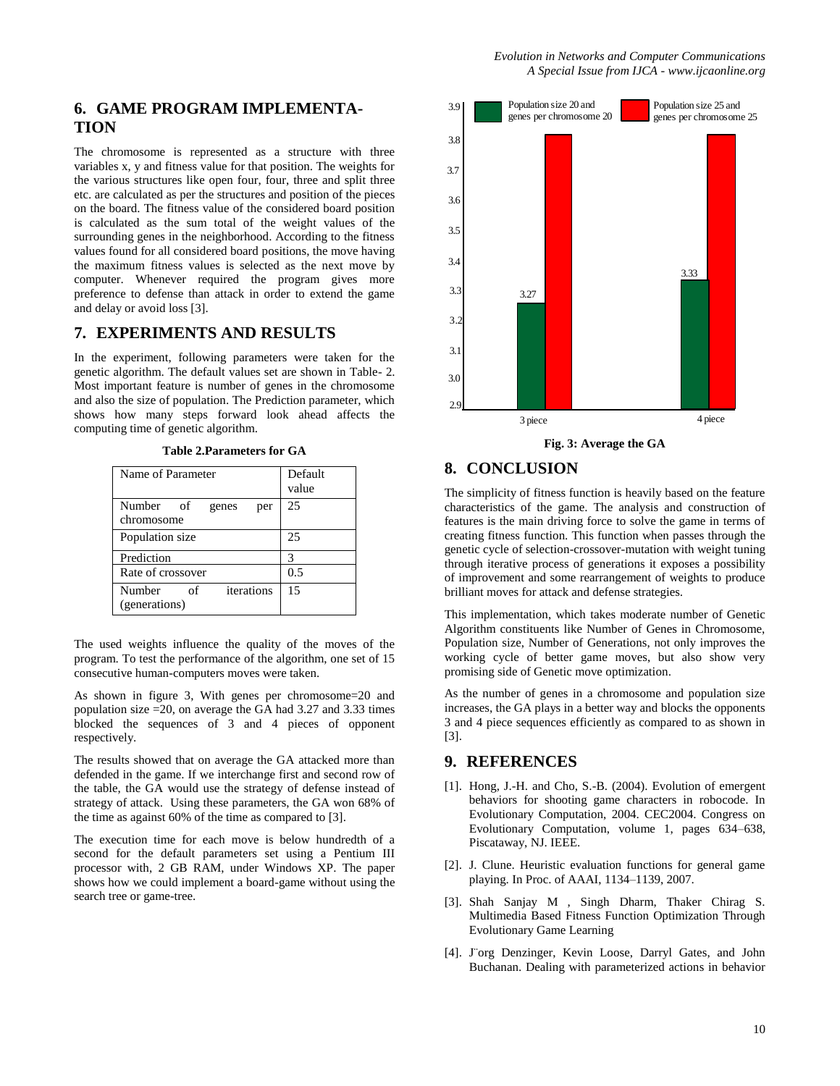### **6. GAME PROGRAM IMPLEMENTA-TION**

The chromosome is represented as a structure with three variables x, y and fitness value for that position. The weights for the various structures like open four, four, three and split three etc. are calculated as per the structures and position of the pieces on the board. The fitness value of the considered board position is calculated as the sum total of the weight values of the surrounding genes in the neighborhood. According to the fitness values found for all considered board positions, the move having the maximum fitness values is selected as the next move by computer. Whenever required the program gives more preference to defense than attack in order to extend the game and delay or avoid loss [3].

#### **7. EXPERIMENTS AND RESULTS**

In the experiment, following parameters were taken for the genetic algorithm. The default values set are shown in Table- 2. Most important feature is number of genes in the chromosome and also the size of population. The Prediction parameter, which shows how many steps forward look ahead affects the computing time of genetic algorithm.

**Table 2.Parameters for GA**

| Name of Parameter                           | Default<br>value |
|---------------------------------------------|------------------|
| Number of<br>genes<br>per<br>chromosome     | 25               |
| Population size                             | 25               |
| Prediction                                  | 3                |
| Rate of crossover                           | 0.5              |
| iterations<br>Number<br>of<br>(generations) | 15               |

The used weights influence the quality of the moves of the program. To test the performance of the algorithm, one set of 15 consecutive human-computers moves were taken.

As shown in figure 3, With genes per chromosome=20 and population size =20, on average the GA had 3.27 and 3.33 times blocked the sequences of 3 and 4 pieces of opponent respectively.

The results showed that on average the GA attacked more than defended in the game. If we interchange first and second row of the table, the GA would use the strategy of defense instead of strategy of attack. Using these parameters, the GA won 68% of the time as against 60% of the time as compared to [3].

The execution time for each move is below hundredth of a second for the default parameters set using a Pentium III processor with, 2 GB RAM, under Windows XP. The paper shows how we could implement a board-game without using the search tree or game-tree.



**Fig. 3: Average the GA**

#### **8. CONCLUSION**

The simplicity of fitness function is heavily based on the feature characteristics of the game. The analysis and construction of features is the main driving force to solve the game in terms of creating fitness function. This function when passes through the genetic cycle of selection-crossover-mutation with weight tuning through iterative process of generations it exposes a possibility of improvement and some rearrangement of weights to produce brilliant moves for attack and defense strategies.

This implementation, which takes moderate number of Genetic Algorithm constituents like Number of Genes in Chromosome, Population size, Number of Generations, not only improves the working cycle of better game moves, but also show very promising side of Genetic move optimization.

As the number of genes in a chromosome and population size increases, the GA plays in a better way and blocks the opponents 3 and 4 piece sequences efficiently as compared to as shown in [3].

#### **9. REFERENCES**

- [1]. Hong, J.-H. and Cho, S.-B. (2004). Evolution of emergent behaviors for shooting game characters in robocode. In Evolutionary Computation, 2004. CEC2004. Congress on Evolutionary Computation, volume 1, pages 634–638, Piscataway, NJ. IEEE.
- [2]. J. Clune. Heuristic evaluation functions for general game playing. In Proc. of AAAI, 1134–1139, 2007.
- [3]. Shah Sanjay M , Singh Dharm, Thaker Chirag S. Multimedia Based Fitness Function Optimization Through Evolutionary Game Learning
- [4]. J¨org Denzinger, Kevin Loose, Darryl Gates, and John Buchanan. Dealing with parameterized actions in behavior